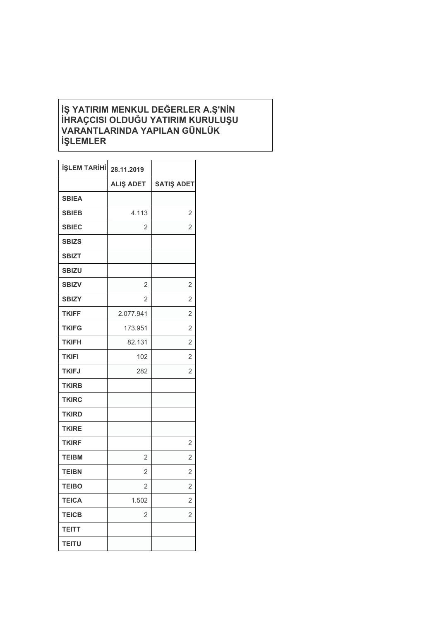## **İŞ YATIRIM MENKUL DEĞERLER A.Ş'NİN İHRAÇCISI OLDUĞU YATIRIM KURULUŞU VARANTLARINDA YAPILAN GÜNLÜK İŞLEMLER**

| <b>İŞLEM TARİHİ</b> | 28.11.2019       |                   |
|---------------------|------------------|-------------------|
|                     | <b>ALIŞ ADET</b> | <b>SATIS ADET</b> |
| <b>SBIEA</b>        |                  |                   |
| <b>SBIEB</b>        | 4.113            | $\overline{2}$    |
| <b>SBIEC</b>        | 2                | 2                 |
| <b>SBIZS</b>        |                  |                   |
| <b>SBIZT</b>        |                  |                   |
| <b>SBIZU</b>        |                  |                   |
| <b>SBIZV</b>        | $\overline{2}$   | $\overline{2}$    |
| <b>SBIZY</b>        | 2                | $\overline{2}$    |
| <b>TKIFF</b>        | 2.077.941        | $\overline{2}$    |
| <b>TKIFG</b>        | 173.951          | 2                 |
| <b>TKIFH</b>        | 82.131           | $\overline{2}$    |
| <b>TKIFI</b>        | 102              | $\overline{2}$    |
| <b>TKIFJ</b>        | 282              | $\overline{2}$    |
| <b>TKIRB</b>        |                  |                   |
| <b>TKIRC</b>        |                  |                   |
| <b>TKIRD</b>        |                  |                   |
| <b>TKIRE</b>        |                  |                   |
| <b>TKIRF</b>        |                  | 2                 |
| <b>TEIBM</b>        | $\overline{2}$   | 2                 |
| <b>TEIBN</b>        | $\overline{2}$   | $\overline{2}$    |
| <b>TEIBO</b>        | $\overline{2}$   | $\overline{2}$    |
| <b>TEICA</b>        | 1.502            | $\overline{2}$    |
| <b>TEICB</b>        | $\overline{2}$   | $\overline{2}$    |
| <b>TEITT</b>        |                  |                   |
| <b>TEITU</b>        |                  |                   |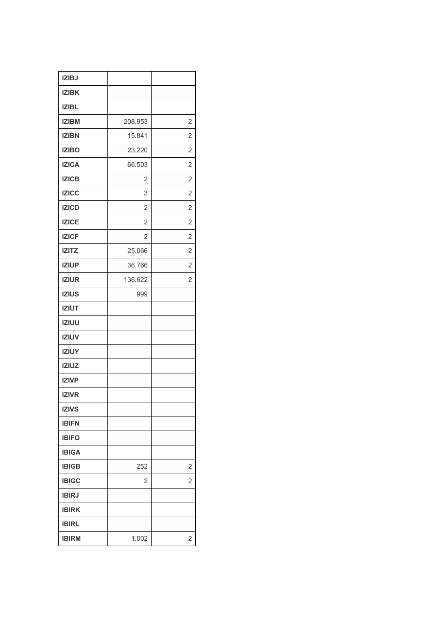| <b>IZIBJ</b> |                |                |
|--------------|----------------|----------------|
| <b>IZIBK</b> |                |                |
| <b>IZIBL</b> |                |                |
| <b>IZIBM</b> | 208.953        | $\overline{2}$ |
| <b>IZIBN</b> | 15.841         | 2              |
| <b>IZIBO</b> | 23.220         | $\overline{2}$ |
| <b>IZICA</b> | 66.503         | $\overline{2}$ |
| <b>IZICB</b> | $\overline{2}$ | $\overline{2}$ |
| <b>IZICC</b> | 3              | 2              |
| <b>IZICD</b> | $\overline{2}$ | $\overline{2}$ |
| <b>IZICE</b> | $\overline{2}$ | $\overline{2}$ |
| <b>IZICF</b> | $\overline{2}$ | $\overline{2}$ |
| <b>IZITZ</b> | 25.066         | 2              |
| <b>IZIUP</b> | 36.766         | $\overline{2}$ |
| <b>IZIUR</b> | 136.622        | 2              |
| <b>IZIUS</b> | 999            |                |
| <b>IZIUT</b> |                |                |
| <b>IZIUU</b> |                |                |
| <b>IZIUV</b> |                |                |
| <b>IZIUY</b> |                |                |
| <b>IZIUZ</b> |                |                |
| <b>IZIVP</b> |                |                |
| <b>IZIVR</b> |                |                |
| <b>IZIVS</b> |                |                |
| <b>IBIFN</b> |                |                |
| <b>IBIFO</b> |                |                |
| <b>IBIGA</b> |                |                |
| <b>IBIGB</b> | 252            | 2              |
| <b>IBIGC</b> | 2              | 2              |
| <b>IBIRJ</b> |                |                |
| <b>IBIRK</b> |                |                |
| <b>IBIRL</b> |                |                |
| <b>IBIRM</b> | 1.002          | 2              |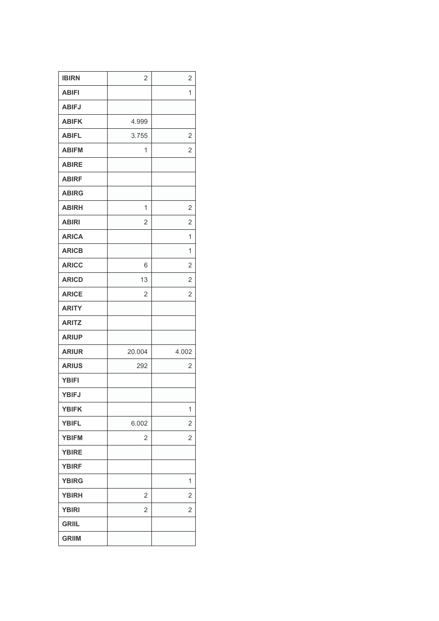| <b>IBIRN</b> | $\overline{2}$ | $\overline{2}$ |
|--------------|----------------|----------------|
| <b>ABIFI</b> |                | 1              |
| <b>ABIFJ</b> |                |                |
| <b>ABIFK</b> | 4.999          |                |
| <b>ABIFL</b> | 3.755          | $\overline{2}$ |
| <b>ABIFM</b> | 1              | $\overline{2}$ |
| <b>ABIRE</b> |                |                |
| <b>ABIRF</b> |                |                |
| <b>ABIRG</b> |                |                |
| <b>ABIRH</b> | 1              | $\overline{2}$ |
| <b>ABIRI</b> | 2              | $\overline{2}$ |
| <b>ARICA</b> |                | 1              |
| <b>ARICB</b> |                | 1              |
| <b>ARICC</b> | 6              | $\overline{2}$ |
| <b>ARICD</b> | 13             | $\overline{2}$ |
| <b>ARICE</b> | 2              | $\overline{2}$ |
| <b>ARITY</b> |                |                |
| <b>ARITZ</b> |                |                |
| <b>ARIUP</b> |                |                |
| <b>ARIUR</b> | 20.004         | 4.002          |
| <b>ARIUS</b> | 292            | 2              |
| <b>YBIFI</b> |                |                |
| <b>YBIFJ</b> |                |                |
| <b>YBIFK</b> |                | 1              |
| <b>YBIFL</b> | 6.002          | 2              |
| <b>YBIFM</b> | $\overline{2}$ | 2              |
| <b>YBIRE</b> |                |                |
| <b>YBIRF</b> |                |                |
| <b>YBIRG</b> |                | 1              |
| <b>YBIRH</b> | 2              | 2              |
| <b>YBIRI</b> | $\overline{2}$ | $\overline{2}$ |
|              |                |                |
| <b>GRIIL</b> |                |                |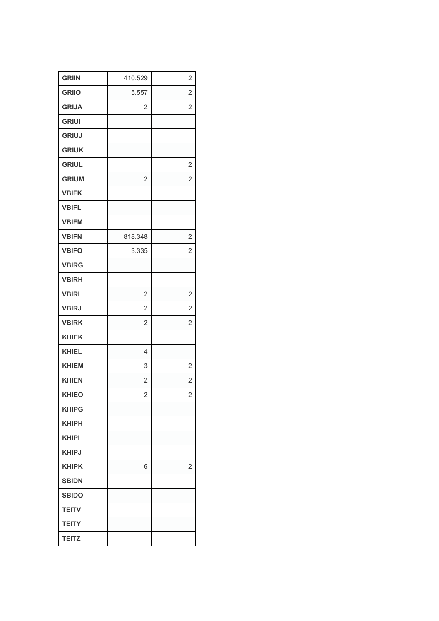| <b>GRIIN</b> | 410.529        | $\overline{2}$ |
|--------------|----------------|----------------|
| <b>GRIIO</b> | 5.557          | $\overline{2}$ |
| <b>GRIJA</b> | $\overline{2}$ | $\overline{2}$ |
| <b>GRIUI</b> |                |                |
| <b>GRIUJ</b> |                |                |
| <b>GRIUK</b> |                |                |
| <b>GRIUL</b> |                | 2              |
| <b>GRIUM</b> | $\overline{2}$ | $\overline{2}$ |
| <b>VBIFK</b> |                |                |
| <b>VBIFL</b> |                |                |
| <b>VBIFM</b> |                |                |
| <b>VBIFN</b> | 818.348        | 2              |
| <b>VBIFO</b> | 3.335          | 2              |
| <b>VBIRG</b> |                |                |
| <b>VBIRH</b> |                |                |
| <b>VBIRI</b> | $\overline{2}$ | $\overline{2}$ |
| <b>VBIRJ</b> | $\overline{2}$ | 2              |
| <b>VBIRK</b> | $\overline{2}$ | $\overline{2}$ |
| <b>KHIEK</b> |                |                |
| <b>KHIEL</b> | 4              |                |
| <b>KHIEM</b> | 3              | 2              |
| <b>KHIEN</b> | $\overline{2}$ | $\overline{2}$ |
| <b>KHIEO</b> | $\overline{2}$ | $\overline{2}$ |
| <b>KHIPG</b> |                |                |
| <b>KHIPH</b> |                |                |
| <b>KHIPI</b> |                |                |
| <b>KHIPJ</b> |                |                |
| <b>KHIPK</b> | 6              | $\overline{2}$ |
| <b>SBIDN</b> |                |                |
| <b>SBIDO</b> |                |                |
| <b>TEITV</b> |                |                |
| <b>TEITY</b> |                |                |
| <b>TEITZ</b> |                |                |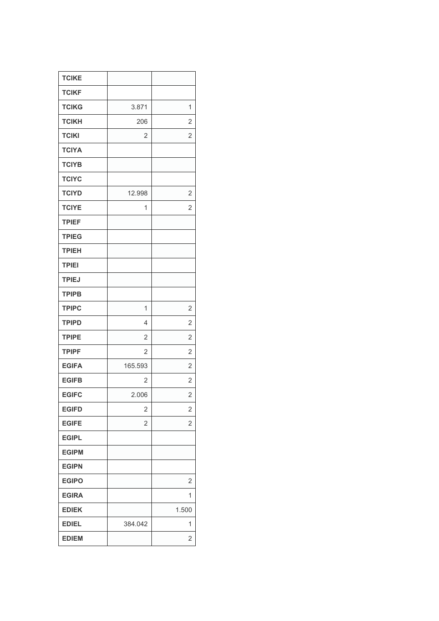| <b>TCIKE</b> |                |                |
|--------------|----------------|----------------|
| <b>TCIKF</b> |                |                |
| <b>TCIKG</b> | 3.871          | 1              |
| <b>TCIKH</b> | 206            | $\overline{2}$ |
| <b>TCIKI</b> | 2              | $\overline{2}$ |
| <b>TCIYA</b> |                |                |
| <b>TCIYB</b> |                |                |
| <b>TCIYC</b> |                |                |
| <b>TCIYD</b> | 12.998         | $\overline{2}$ |
| <b>TCIYE</b> | 1              | 2              |
| <b>TPIEF</b> |                |                |
| <b>TPIEG</b> |                |                |
| <b>TPIEH</b> |                |                |
| <b>TPIEI</b> |                |                |
| <b>TPIEJ</b> |                |                |
| <b>TPIPB</b> |                |                |
| <b>TPIPC</b> | 1              | $\overline{2}$ |
| <b>TPIPD</b> | 4              | $\overline{2}$ |
| <b>TPIPE</b> | $\overline{2}$ | $\overline{2}$ |
| <b>TPIPF</b> | $\overline{2}$ | $\overline{2}$ |
| <b>EGIFA</b> | 165.593        | $\overline{2}$ |
| <b>EGIFB</b> | $\overline{2}$ | $\overline{2}$ |
| <b>EGIFC</b> | 2.006          | $\overline{c}$ |
| <b>EGIFD</b> | $\overline{2}$ | $\overline{2}$ |
| <b>EGIFE</b> | 2              | 2              |
| <b>EGIPL</b> |                |                |
| <b>EGIPM</b> |                |                |
| <b>EGIPN</b> |                |                |
| <b>EGIPO</b> |                | $\overline{2}$ |
| <b>EGIRA</b> |                | 1              |
| <b>EDIEK</b> |                | 1.500          |
| <b>EDIEL</b> | 384.042        | 1              |
| <b>EDIEM</b> |                | 2              |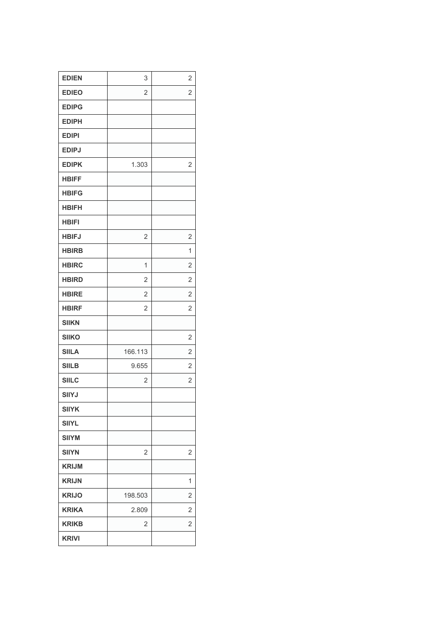| <b>EDIEN</b> | 3              | $\overline{2}$ |
|--------------|----------------|----------------|
| <b>EDIEO</b> | $\overline{2}$ | $\overline{2}$ |
| <b>EDIPG</b> |                |                |
| <b>EDIPH</b> |                |                |
| <b>EDIPI</b> |                |                |
| <b>EDIPJ</b> |                |                |
| <b>EDIPK</b> | 1.303          | $\overline{2}$ |
| <b>HBIFF</b> |                |                |
| <b>HBIFG</b> |                |                |
| <b>HBIFH</b> |                |                |
| <b>HBIFI</b> |                |                |
| <b>HBIFJ</b> | $\overline{2}$ | $\overline{2}$ |
| <b>HBIRB</b> |                | 1              |
| <b>HBIRC</b> | 1              | $\overline{2}$ |
| <b>HBIRD</b> | $\overline{2}$ | $\overline{2}$ |
| <b>HBIRE</b> | $\overline{2}$ | $\overline{2}$ |
| <b>HBIRF</b> | $\overline{2}$ | $\overline{2}$ |
| <b>SIIKN</b> |                |                |
| <b>SIIKO</b> |                | $\overline{2}$ |
| <b>SIILA</b> | 166.113        | $\overline{2}$ |
| <b>SIILB</b> | 9.655          | $\overline{2}$ |
| <b>SIILC</b> | $\overline{2}$ | $\overline{2}$ |
| <b>SIIYJ</b> |                |                |
| <b>SIIYK</b> |                |                |
| <b>SIIYL</b> |                |                |
| <b>SIIYM</b> |                |                |
| <b>SIIYN</b> | $\overline{2}$ | 2              |
| <b>KRIJM</b> |                |                |
| <b>KRIJN</b> |                | 1              |
| <b>KRIJO</b> | 198.503        | 2              |
| <b>KRIKA</b> | 2.809          | 2              |
| <b>KRIKB</b> | $\overline{2}$ | 2              |
| <b>KRIVI</b> |                |                |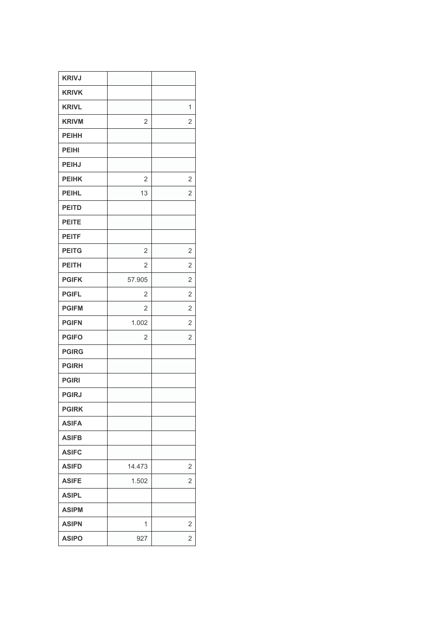|                | 1              |
|----------------|----------------|
| $\overline{2}$ | 2              |
|                |                |
|                |                |
|                |                |
| $\overline{2}$ | 2              |
| 13             | $\overline{2}$ |
|                |                |
|                |                |
|                |                |
| $\overline{2}$ | $\overline{2}$ |
| $\overline{2}$ | $\overline{2}$ |
| 57.905         | $\overline{2}$ |
| $\overline{c}$ | $\overline{2}$ |
| $\overline{2}$ | $\overline{2}$ |
| 1.002          | 2              |
| $\overline{2}$ | $\overline{2}$ |
|                |                |
|                |                |
|                |                |
|                |                |
|                |                |
|                |                |
|                |                |
|                |                |
| 14.473         | 2              |
|                | 2              |
|                |                |
|                |                |
|                |                |
| 1              | 2              |
|                | 1.502          |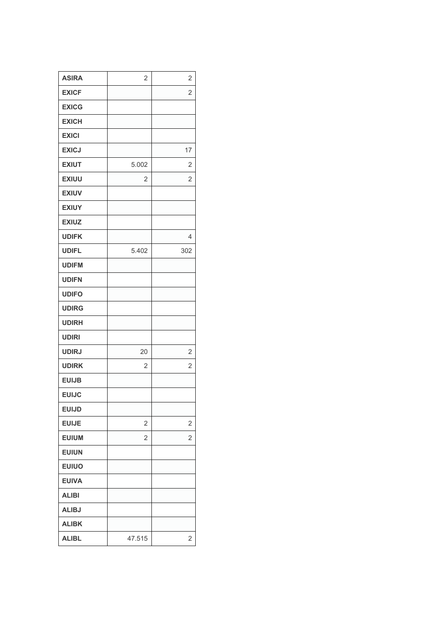| <b>ASIRA</b> | $\overline{2}$ | 2              |
|--------------|----------------|----------------|
| <b>EXICF</b> |                | $\overline{2}$ |
| <b>EXICG</b> |                |                |
| <b>EXICH</b> |                |                |
| <b>EXICI</b> |                |                |
| <b>EXICJ</b> |                | 17             |
| <b>EXIUT</b> | 5.002          | 2              |
| <b>EXIUU</b> | $\overline{2}$ | $\overline{2}$ |
| <b>EXIUV</b> |                |                |
| <b>EXIUY</b> |                |                |
| <b>EXIUZ</b> |                |                |
| <b>UDIFK</b> |                | 4              |
| <b>UDIFL</b> | 5.402          | 302            |
| <b>UDIFM</b> |                |                |
| <b>UDIFN</b> |                |                |
| <b>UDIFO</b> |                |                |
| <b>UDIRG</b> |                |                |
| <b>UDIRH</b> |                |                |
| <b>UDIRI</b> |                |                |
| <b>UDIRJ</b> | 20             | $\overline{2}$ |
| <b>UDIRK</b> | $\overline{2}$ | 2              |
| <b>EUIJB</b> |                |                |
| <b>EUIJC</b> |                |                |
| <b>EUIJD</b> |                |                |
| <b>EUIJE</b> | $\overline{2}$ | 2              |
| <b>EUIUM</b> | $\overline{2}$ | 2              |
| <b>EUIUN</b> |                |                |
| <b>EUIUO</b> |                |                |
| <b>EUIVA</b> |                |                |
| <b>ALIBI</b> |                |                |
| <b>ALIBJ</b> |                |                |
| <b>ALIBK</b> |                |                |
| <b>ALIBL</b> | 47.515         | $\overline{2}$ |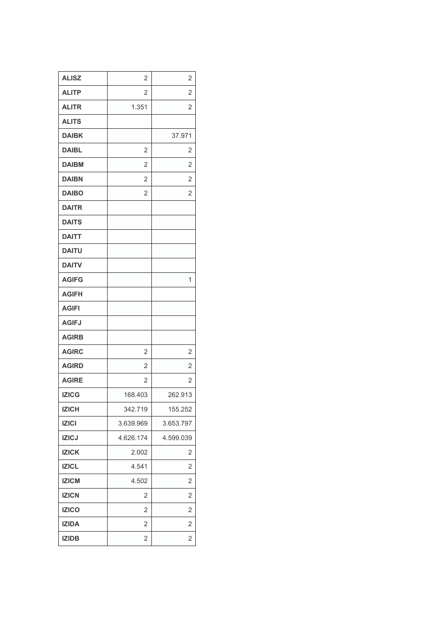| <b>ALISZ</b> | $\overline{2}$ | $\overline{2}$ |
|--------------|----------------|----------------|
| <b>ALITP</b> | 2              | $\overline{2}$ |
| <b>ALITR</b> | 1.351          | $\overline{2}$ |
| <b>ALITS</b> |                |                |
| <b>DAIBK</b> |                | 37.971         |
| <b>DAIBL</b> | 2              | 2              |
| <b>DAIBM</b> | $\overline{2}$ | $\overline{2}$ |
| <b>DAIBN</b> | $\overline{2}$ | $\overline{2}$ |
| <b>DAIBO</b> | $\overline{2}$ | $\overline{2}$ |
| <b>DAITR</b> |                |                |
| <b>DAITS</b> |                |                |
| <b>DAITT</b> |                |                |
| <b>DAITU</b> |                |                |
| <b>DAITV</b> |                |                |
| <b>AGIFG</b> |                | 1              |
| <b>AGIFH</b> |                |                |
| <b>AGIFI</b> |                |                |
| <b>AGIFJ</b> |                |                |
| <b>AGIRB</b> |                |                |
| <b>AGIRC</b> | $\overline{2}$ | $\overline{2}$ |
| <b>AGIRD</b> | $\overline{2}$ | $\overline{2}$ |
| <b>AGIRE</b> | $\overline{2}$ | $\overline{2}$ |
| <b>IZICG</b> | 168.403        | 262.913        |
| <b>IZICH</b> | 342.719        | 155.252        |
| <b>IZICI</b> | 3.639.969      | 3.653.797      |
| <b>IZICJ</b> | 4.626.174      | 4.599.039      |
| <b>IZICK</b> | 2.002          | $\overline{2}$ |
| <b>IZICL</b> | 4.541          | 2              |
| <b>IZICM</b> | 4.502          | 2              |
| <b>IZICN</b> | 2              | $\overline{2}$ |
| <b>IZICO</b> | $\overline{2}$ | $\overline{2}$ |
| <b>IZIDA</b> | 2              | $\overline{2}$ |
| <b>IZIDB</b> | 2              | 2              |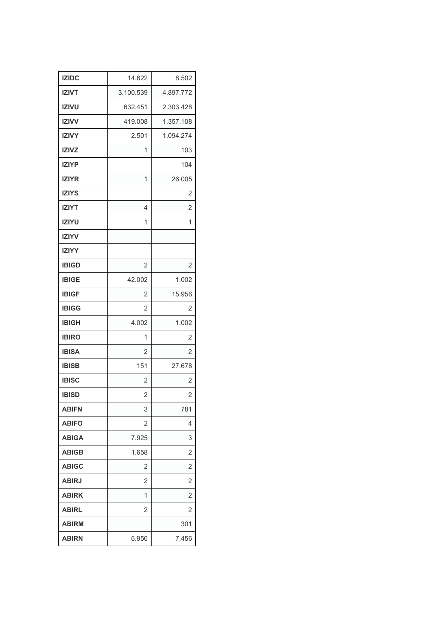| <b>IZIDC</b> | 14.622         | 8.502          |
|--------------|----------------|----------------|
| <b>IZIVT</b> | 3.100.539      | 4.897.772      |
| <b>IZIVU</b> | 632.451        | 2.303.428      |
| <b>IZIVV</b> | 419.008        | 1.357.108      |
| <b>IZIVY</b> | 2.501          | 1.094.274      |
| <b>IZIVZ</b> | 1              | 103            |
| <b>IZIYP</b> |                | 104            |
| <b>IZIYR</b> | 1              | 26.005         |
| <b>IZIYS</b> |                | 2              |
| <b>IZIYT</b> | 4              | 2              |
| <b>IZIYU</b> | 1              | 1              |
| <b>IZIYV</b> |                |                |
| <b>IZIYY</b> |                |                |
| <b>IBIGD</b> | 2              | 2              |
| <b>IBIGE</b> | 42.002         | 1.002          |
| <b>IBIGF</b> | 2              | 15.956         |
| <b>IBIGG</b> | $\overline{2}$ | 2              |
| <b>IBIGH</b> | 4.002          | 1.002          |
| <b>IBIRO</b> | 1              | 2              |
| <b>IBISA</b> | $\overline{2}$ | 2              |
| <b>IBISB</b> | 151            | 27.678         |
| <b>IBISC</b> | $\overline{2}$ | $\overline{2}$ |
| <b>IBISD</b> | $\overline{c}$ | 2              |
| <b>ABIFN</b> | 3              | 781            |
| <b>ABIFO</b> | 2              | 4              |
| <b>ABIGA</b> | 7.925          | 3              |
| <b>ABIGB</b> | 1.658          | 2              |
| <b>ABIGC</b> | 2              | 2              |
| <b>ABIRJ</b> | 2              | 2              |
| <b>ABIRK</b> | 1              | 2              |
| <b>ABIRL</b> | 2              | 2              |
| <b>ABIRM</b> |                | 301            |
| <b>ABIRN</b> | 6.956          | 7.456          |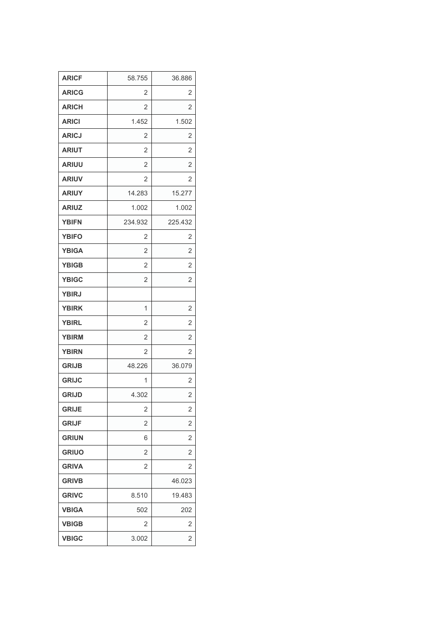| <b>ARICF</b> | 58.755         | 36.886         |
|--------------|----------------|----------------|
| <b>ARICG</b> | 2              | 2              |
| <b>ARICH</b> | 2              | 2              |
| <b>ARICI</b> | 1.452          | 1.502          |
| <b>ARICJ</b> | 2              | 2              |
| <b>ARIUT</b> | $\overline{2}$ | $\overline{2}$ |
| <b>ARIUU</b> | 2              | $\overline{2}$ |
| <b>ARIUV</b> | $\overline{2}$ | $\overline{2}$ |
| <b>ARIUY</b> | 14.283         | 15.277         |
| <b>ARIUZ</b> | 1.002          | 1.002          |
| <b>YBIFN</b> | 234.932        | 225.432        |
| <b>YBIFO</b> | $\overline{2}$ | 2              |
| <b>YBIGA</b> | $\overline{2}$ | $\overline{2}$ |
| <b>YBIGB</b> | $\overline{2}$ | $\overline{2}$ |
| <b>YBIGC</b> | 2              | 2              |
| <b>YBIRJ</b> |                |                |
| <b>YBIRK</b> | 1              | 2              |
| <b>YBIRL</b> | 2              | $\overline{2}$ |
| <b>YBIRM</b> | $\overline{2}$ | $\overline{2}$ |
| <b>YBIRN</b> | $\overline{2}$ | $\overline{2}$ |
| <b>GRIJB</b> | 48.226         | 36.079         |
| <b>GRIJC</b> | 1              | $\overline{2}$ |
| <b>GRIJD</b> | 4.302          | $\overline{2}$ |
| <b>GRIJE</b> | 2              | $\overline{2}$ |
| <b>GRIJF</b> | $\overline{2}$ | 2              |
| <b>GRIUN</b> | 6              | 2              |
| <b>GRIUO</b> | $\overline{2}$ | 2              |
| <b>GRIVA</b> | $\overline{2}$ | 2              |
| <b>GRIVB</b> |                | 46.023         |
| <b>GRIVC</b> | 8.510          | 19.483         |
| <b>VBIGA</b> | 502            | 202            |
| <b>VBIGB</b> | 2              | 2              |
| <b>VBIGC</b> | 3.002          | 2              |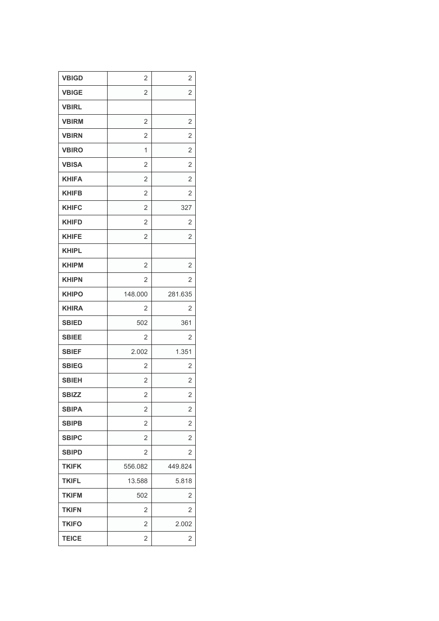| <b>VBIGD</b> | 2              | 2              |
|--------------|----------------|----------------|
| <b>VBIGE</b> | $\overline{2}$ | 2              |
| <b>VBIRL</b> |                |                |
| <b>VBIRM</b> | $\overline{2}$ | $\overline{2}$ |
| <b>VBIRN</b> | 2              | 2              |
| <b>VBIRO</b> | 1              | $\overline{2}$ |
| <b>VBISA</b> | 2              | $\overline{2}$ |
| <b>KHIFA</b> | $\overline{2}$ | $\overline{2}$ |
| <b>KHIFB</b> | 2              | 2              |
| <b>KHIFC</b> | $\overline{2}$ | 327            |
| <b>KHIFD</b> | $\overline{2}$ | $\overline{2}$ |
| <b>KHIFE</b> | $\overline{2}$ | 2              |
| <b>KHIPL</b> |                |                |
| <b>KHIPM</b> | $\overline{2}$ | $\overline{2}$ |
| <b>KHIPN</b> | 2              | 2              |
| <b>KHIPO</b> | 148.000        | 281.635        |
| <b>KHIRA</b> | 2              | 2              |
| <b>SBIED</b> | 502            | 361            |
| <b>SBIEE</b> | 2              | 2              |
| <b>SBIEF</b> | 2.002          | 1.351          |
| <b>SBIEG</b> | 2              | 2              |
| <b>SBIEH</b> | $\overline{2}$ | $\overline{2}$ |
| <b>SBIZZ</b> | $\overline{2}$ | 2              |
| <b>SBIPA</b> | 2              | $\overline{2}$ |
| <b>SBIPB</b> | 2              | 2              |
| <b>SBIPC</b> | $\overline{2}$ | 2              |
| <b>SBIPD</b> | 2              | 2              |
| <b>TKIFK</b> | 556.082        | 449.824        |
| <b>TKIFL</b> | 13.588         | 5.818          |
| <b>TKIFM</b> | 502            | 2              |
| <b>TKIFN</b> | 2              | 2              |
| <b>TKIFO</b> | $\overline{2}$ | 2.002          |
| <b>TEICE</b> | 2              | 2              |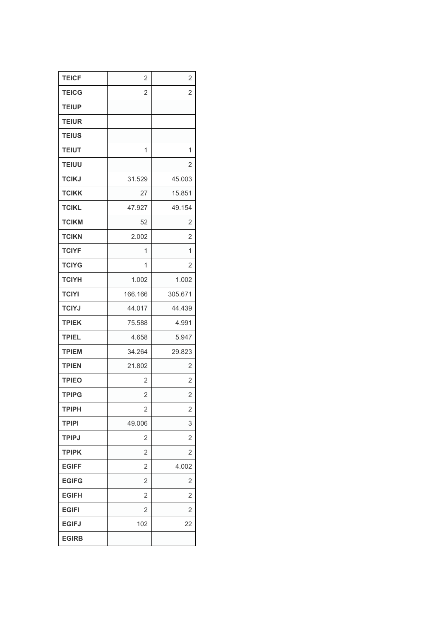| <b>TEICF</b> | $\overline{2}$ | 2              |
|--------------|----------------|----------------|
| <b>TEICG</b> | $\overline{2}$ | 2              |
| <b>TEIUP</b> |                |                |
| <b>TEIUR</b> |                |                |
| <b>TEIUS</b> |                |                |
| <b>TEIUT</b> | 1              | 1              |
| <b>TEIUU</b> |                | 2              |
| <b>TCIKJ</b> | 31.529         | 45.003         |
| <b>TCIKK</b> | 27             | 15.851         |
| <b>TCIKL</b> | 47.927         | 49.154         |
| <b>TCIKM</b> | 52             | 2              |
| <b>TCIKN</b> | 2.002          | $\overline{2}$ |
| <b>TCIYF</b> | 1              | 1              |
| <b>TCIYG</b> | 1              | $\overline{2}$ |
| <b>TCIYH</b> | 1.002          | 1.002          |
| <b>TCIYI</b> | 166.166        | 305.671        |
| <b>TCIYJ</b> | 44.017         | 44.439         |
| <b>TPIEK</b> | 75.588         | 4.991          |
| <b>TPIEL</b> | 4.658          | 5.947          |
| <b>TPIEM</b> | 34.264         | 29.823         |
| <b>TPIEN</b> | 21.802         | 2              |
| <b>TPIEO</b> | 2              | $\overline{2}$ |
| <b>TPIPG</b> | 2              | 2              |
| <b>TPIPH</b> | 2              | 2              |
| <b>TPIPI</b> | 49.006         | 3              |
| <b>TPIPJ</b> | 2              | 2              |
| <b>TPIPK</b> | $\overline{2}$ | 2              |
| <b>EGIFF</b> | $\overline{2}$ | 4.002          |
| <b>EGIFG</b> | $\overline{2}$ | 2              |
| <b>EGIFH</b> | 2              | 2              |
| <b>EGIFI</b> | 2              | 2              |
| <b>EGIFJ</b> | 102            | 22             |
| <b>EGIRB</b> |                |                |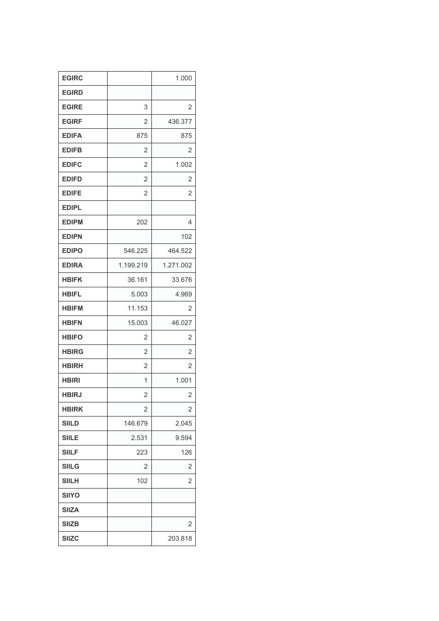| <b>EGIRC</b> |                | 1.000          |
|--------------|----------------|----------------|
| <b>EGIRD</b> |                |                |
| <b>EGIRE</b> | 3              | 2              |
| <b>EGIRF</b> | $\overline{2}$ | 436.377        |
| <b>EDIFA</b> | 875            | 875            |
| <b>EDIFB</b> | $\overline{2}$ | 2              |
| <b>EDIFC</b> | $\overline{2}$ | 1.002          |
| <b>EDIFD</b> | $\overline{2}$ | 2              |
| <b>EDIFE</b> | 2              | 2              |
| <b>EDIPL</b> |                |                |
| <b>EDIPM</b> | 202            | 4              |
| <b>EDIPN</b> |                | 102            |
| <b>EDIPO</b> | 546.225        | 464.522        |
| <b>EDIRA</b> | 1.199.219      | 1.271.002      |
| <b>HBIFK</b> | 36.161         | 33.676         |
| <b>HBIFL</b> | 5.003          | 4.969          |
| <b>HBIFM</b> | 11.153         | 2              |
| <b>HBIFN</b> | 15.003         | 46.027         |
| <b>HBIFO</b> | 2              | $\overline{2}$ |
| <b>HBIRG</b> | $\overline{2}$ | 2              |
| <b>HBIRH</b> | 2              | 2              |
| <b>HBIRI</b> | 1              | 1.001          |
| <b>HBIRJ</b> | $\overline{2}$ | 2              |
| <b>HBIRK</b> | $\overline{2}$ | 2              |
| <b>SIILD</b> | 146.679        | 2.045          |
| <b>SIILE</b> | 2.531          | 9.594          |
| <b>SIILF</b> | 223            | 126            |
| <b>SIILG</b> | $\overline{2}$ | 2              |
| <b>SIILH</b> | 102            | 2              |
| <b>SIIYO</b> |                |                |
| <b>SIIZA</b> |                |                |
| <b>SIIZB</b> |                | 2              |
| <b>SIIZC</b> |                | 203.818        |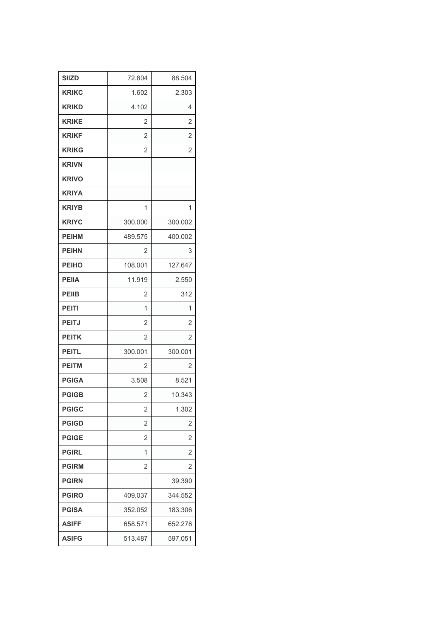| <b>SIIZD</b> | 72.804         | 88.504         |
|--------------|----------------|----------------|
| <b>KRIKC</b> | 1.602          | 2.303          |
| <b>KRIKD</b> | 4.102          | 4              |
| <b>KRIKE</b> | 2              | $\overline{2}$ |
| <b>KRIKF</b> | $\overline{2}$ | 2              |
| <b>KRIKG</b> | $\overline{2}$ | $\overline{2}$ |
| <b>KRIVN</b> |                |                |
| <b>KRIVO</b> |                |                |
| <b>KRIYA</b> |                |                |
| <b>KRIYB</b> | 1              | 1              |
| <b>KRIYC</b> | 300.000        | 300.002        |
| <b>PEIHM</b> | 489.575        | 400.002        |
| <b>PEIHN</b> | 2              | 3              |
| <b>PEIHO</b> | 108.001        | 127.647        |
| <b>PEIIA</b> | 11.919         | 2.550          |
| <b>PEIIB</b> | 2              | 312            |
| <b>PEITI</b> | 1              | 1              |
| <b>PEITJ</b> | 2              | $\overline{2}$ |
| <b>PEITK</b> | $\overline{2}$ | $\mathbf{2}$   |
| <b>PEITL</b> | 300.001        | 300.001        |
| <b>PEITM</b> | 2              | 2              |
| <b>PGIGA</b> | 3.508          | 8.521          |
| <b>PGIGB</b> | 2              | 10.343         |
| <b>PGIGC</b> | 2              | 1.302          |
| <b>PGIGD</b> | $\overline{2}$ | 2              |
| <b>PGIGE</b> | 2              | 2              |
| <b>PGIRL</b> | 1              | 2              |
| <b>PGIRM</b> | 2              | 2              |
| <b>PGIRN</b> |                | 39.390         |
| <b>PGIRO</b> | 409.037        | 344.552        |
| <b>PGISA</b> | 352.052        | 183.306        |
| <b>ASIFF</b> | 658.571        | 652.276        |
| <b>ASIFG</b> | 513.487        | 597.051        |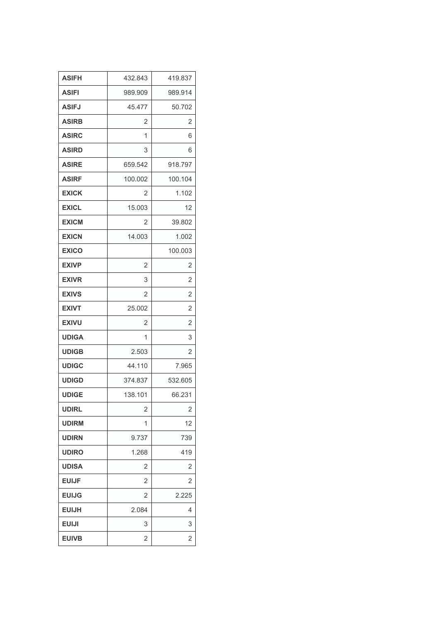| <b>ASIFH</b> | 432.843        | 419.837        |
|--------------|----------------|----------------|
| <b>ASIFI</b> | 989.909        | 989.914        |
| <b>ASIFJ</b> | 45.477         | 50.702         |
| <b>ASIRB</b> | 2              | 2              |
| <b>ASIRC</b> | 1              | 6              |
| <b>ASIRD</b> | 3              | 6              |
| <b>ASIRE</b> | 659.542        | 918.797        |
| <b>ASIRF</b> | 100.002        | 100.104        |
| <b>EXICK</b> | 2              | 1.102          |
| <b>EXICL</b> | 15.003         | 12             |
| <b>EXICM</b> | 2              | 39.802         |
| <b>EXICN</b> | 14.003         | 1.002          |
| <b>EXICO</b> |                | 100.003        |
| <b>EXIVP</b> | $\overline{2}$ | 2              |
| <b>EXIVR</b> | 3              | 2              |
| <b>EXIVS</b> | $\overline{2}$ | $\overline{2}$ |
| <b>EXIVT</b> | 25.002         | 2              |
| <b>EXIVU</b> | 2              | $\overline{2}$ |
| <b>UDIGA</b> | 1              | 3              |
| <b>UDIGB</b> | 2.503          | 2              |
| <b>UDIGC</b> | 44.110         | 7.965          |
| <b>UDIGD</b> | 374.837        | 532.605        |
| <b>UDIGE</b> | 138.101        | 66.231         |
| <b>UDIRL</b> | $\overline{2}$ | $\overline{2}$ |
| <b>UDIRM</b> | 1              | 12             |
| <b>UDIRN</b> | 9.737          | 739            |
| <b>UDIRO</b> | 1.268          | 419            |
| <b>UDISA</b> | 2              | $\overline{2}$ |
| <b>EUIJF</b> | 2              | 2              |
| <b>EUIJG</b> | 2              | 2.225          |
| <b>EUIJH</b> | 2.084          | 4              |
| <b>EUIJI</b> | 3              | 3              |
| <b>EUIVB</b> | 2              | 2              |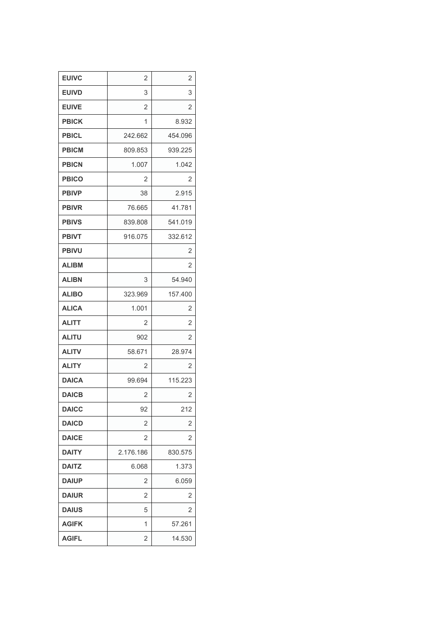| <b>EUIVC</b> | 2              | 2       |
|--------------|----------------|---------|
| <b>EUIVD</b> | 3              | 3       |
| <b>EUIVE</b> | 2              | 2       |
| <b>PBICK</b> | 1              | 8.932   |
| <b>PBICL</b> | 242.662        | 454.096 |
| <b>PBICM</b> | 809.853        | 939.225 |
| <b>PBICN</b> | 1.007          | 1.042   |
| <b>PBICO</b> | $\overline{2}$ | 2       |
| <b>PBIVP</b> | 38             | 2.915   |
| <b>PBIVR</b> | 76.665         | 41.781  |
| <b>PBIVS</b> | 839.808        | 541.019 |
| <b>PBIVT</b> | 916.075        | 332.612 |
| <b>PBIVU</b> |                | 2       |
| <b>ALIBM</b> |                | 2       |
| <b>ALIBN</b> | 3              | 54.940  |
| <b>ALIBO</b> | 323.969        | 157.400 |
| <b>ALICA</b> | 1.001          | 2       |
| <b>ALITT</b> | 2              | 2       |
| <b>ALITU</b> | 902            | 2       |
| <b>ALITV</b> | 58.671         | 28.974  |
| <b>ALITY</b> | 2              | 2       |
| <b>DAICA</b> | 99.694         | 115.223 |
| <b>DAICB</b> | $\overline{2}$ | 2       |
| <b>DAICC</b> | 92             | 212     |
| <b>DAICD</b> | 2              | 2       |
| <b>DAICE</b> | 2              | 2       |
| <b>DAITY</b> | 2.176.186      | 830.575 |
| <b>DAITZ</b> | 6.068          | 1.373   |
| <b>DAIUP</b> | 2              | 6.059   |
| <b>DAIUR</b> | 2              | 2       |
| <b>DAIUS</b> | 5              | 2       |
| <b>AGIFK</b> | 1              | 57.261  |
| <b>AGIFL</b> | 2              | 14.530  |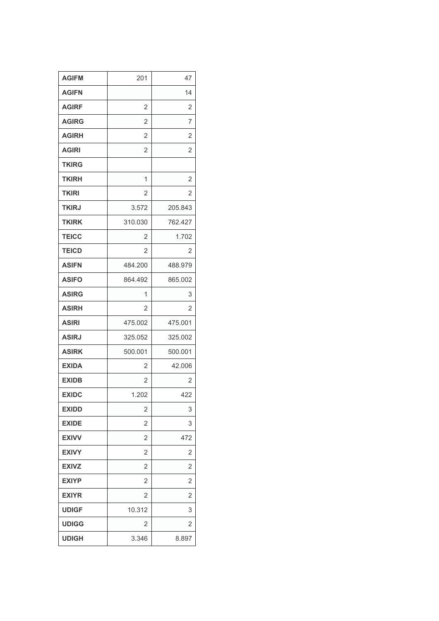| <b>AGIFM</b> | 201            | 47             |
|--------------|----------------|----------------|
| <b>AGIFN</b> |                | 14             |
| <b>AGIRF</b> | 2              | 2              |
| <b>AGIRG</b> | 2              | 7              |
| <b>AGIRH</b> | $\overline{2}$ | 2              |
| <b>AGIRI</b> | $\overline{2}$ | 2              |
| <b>TKIRG</b> |                |                |
| <b>TKIRH</b> | 1              | $\overline{2}$ |
| <b>TKIRI</b> | 2              | 2              |
| <b>TKIRJ</b> | 3.572          | 205.843        |
| <b>TKIRK</b> | 310.030        | 762.427        |
| <b>TEICC</b> | 2              | 1.702          |
| <b>TEICD</b> | 2              | 2              |
| <b>ASIFN</b> | 484.200        | 488.979        |
| <b>ASIFO</b> | 864.492        | 865.002        |
| <b>ASIRG</b> | 1              | 3              |
| <b>ASIRH</b> | 2              | 2              |
| <b>ASIRI</b> | 475.002        | 475.001        |
| <b>ASIRJ</b> | 325.052        | 325.002        |
| <b>ASIRK</b> | 500.001        | 500.001        |
| <b>EXIDA</b> | 2              | 42.006         |
| <b>EXIDB</b> | $\overline{2}$ | 2              |
| <b>EXIDC</b> | 1.202          | 422            |
| <b>EXIDD</b> | 2              | 3              |
| <b>EXIDE</b> | 2              | 3              |
| <b>EXIVV</b> | $\overline{2}$ | 472            |
| <b>EXIVY</b> | 2              | 2              |
| <b>EXIVZ</b> | $\overline{2}$ | 2              |
| <b>EXIYP</b> | 2              | 2              |
| <b>EXIYR</b> | $\overline{2}$ | 2              |
| <b>UDIGF</b> | 10.312         | 3              |
| <b>UDIGG</b> | 2              | 2              |
| <b>UDIGH</b> | 3.346          | 8.897          |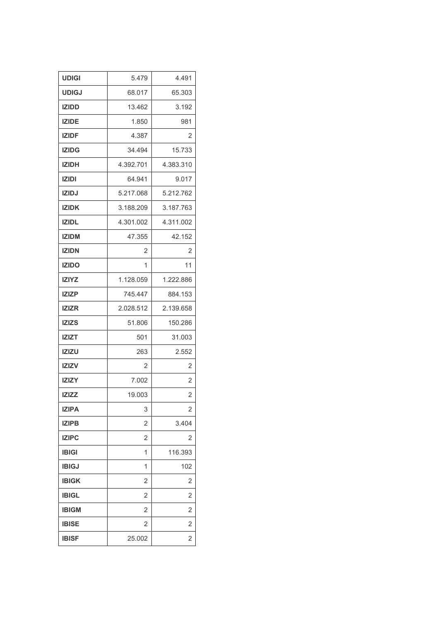| <b>UDIGI</b> | 5.479          | 4.491          |
|--------------|----------------|----------------|
| <b>UDIGJ</b> | 68.017         | 65.303         |
| <b>IZIDD</b> | 13.462         | 3.192          |
| <b>IZIDE</b> | 1.850          | 981            |
| <b>IZIDF</b> | 4.387          | 2              |
| <b>IZIDG</b> | 34.494         | 15.733         |
| <b>IZIDH</b> | 4.392.701      | 4.383.310      |
| <b>IZIDI</b> | 64.941         | 9.017          |
| <b>IZIDJ</b> | 5.217.068      | 5.212.762      |
| <b>IZIDK</b> | 3.188.209      | 3.187.763      |
| <b>IZIDL</b> | 4.301.002      | 4.311.002      |
| <b>IZIDM</b> | 47.355         | 42.152         |
| <b>IZIDN</b> | 2              | 2              |
| <b>IZIDO</b> | 1              | 11             |
| <b>IZIYZ</b> | 1.128.059      | 1.222.886      |
| <b>IZIZP</b> | 745.447        | 884.153        |
| <b>IZIZR</b> | 2.028.512      | 2.139.658      |
| <b>IZIZS</b> | 51.806         | 150.286        |
| <b>IZIZT</b> | 501            | 31.003         |
| <b>IZIZU</b> | 263            | 2.552          |
| <b>IZIZV</b> | 2              | 2              |
| <b>IZIZY</b> | 7.002          | $\overline{2}$ |
| <b>IZIZZ</b> | 19.003         | 2              |
| <b>IZIPA</b> | 3              | 2              |
| <b>IZIPB</b> | $\overline{2}$ | 3.404          |
| <b>IZIPC</b> | 2              | 2              |
| <b>IBIGI</b> | 1              | 116.393        |
| <b>IBIGJ</b> | 1              | 102            |
| <b>IBIGK</b> | $\overline{2}$ | 2              |
| <b>IBIGL</b> | 2              | 2              |
| <b>IBIGM</b> | $\overline{2}$ | 2              |
| <b>IBISE</b> | 2              | 2              |
| <b>IBISF</b> | 25.002         | 2              |
|              |                |                |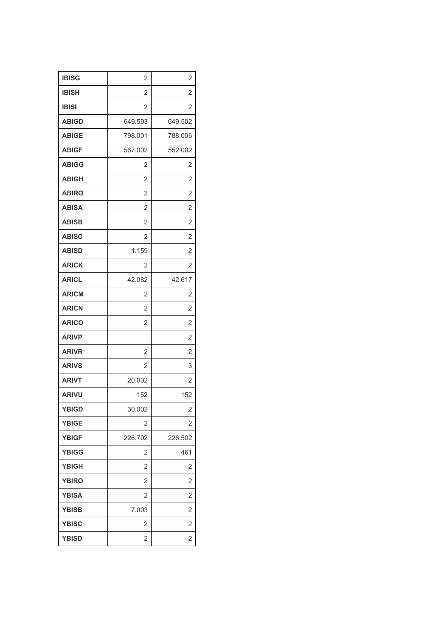| <b>IBISG</b> | 2              | 2              |
|--------------|----------------|----------------|
| <b>IBISH</b> | $\overline{2}$ | 2              |
| <b>IBISI</b> | 2              | 2              |
| <b>ABIGD</b> | 649.593        | 649.502        |
| <b>ABIGE</b> | 798.001        | 788.006        |
| <b>ABIGF</b> | 567.002        | 552.002        |
| <b>ABIGG</b> | 2              | 2              |
| <b>ABIGH</b> | $\overline{2}$ | 2              |
| <b>ABIRO</b> | $\overline{2}$ | 2              |
| <b>ABISA</b> | $\overline{2}$ | 2              |
| <b>ABISB</b> | 2              | 2              |
| <b>ABISC</b> | $\overline{2}$ | 2              |
| <b>ABISD</b> | 1.159          | 2              |
| <b>ARICK</b> | 2              | 2              |
| <b>ARICL</b> | 42.082         | 42.617         |
| <b>ARICM</b> | $\overline{2}$ | 2              |
| <b>ARICN</b> | $\overline{2}$ | 2              |
| <b>ARICO</b> | $\overline{2}$ | 2              |
| <b>ARIVP</b> |                | $\overline{2}$ |
| <b>ARIVR</b> | $\overline{2}$ | 2              |
| <b>ARIVS</b> | 2              | 3              |
| <b>ARIVT</b> | 20.002         | 2              |
| <b>ARIVU</b> | 152            | 152            |
| <b>YBIGD</b> | 30.002         | $\overline{c}$ |
| <b>YBIGE</b> | 2              | 2              |
| <b>YBIGF</b> | 226.702        | 226.502        |
| <b>YBIGG</b> | 2              | 461            |
| <b>YBIGH</b> | $\overline{2}$ | 2              |
| <b>YBIRO</b> | 2              | 2              |
| <b>YBISA</b> | $\overline{2}$ | 2              |
| <b>YBISB</b> | 7.003          | 2              |
| <b>YBISC</b> | 2              | 2              |
| <b>YBISD</b> | 2              | 2              |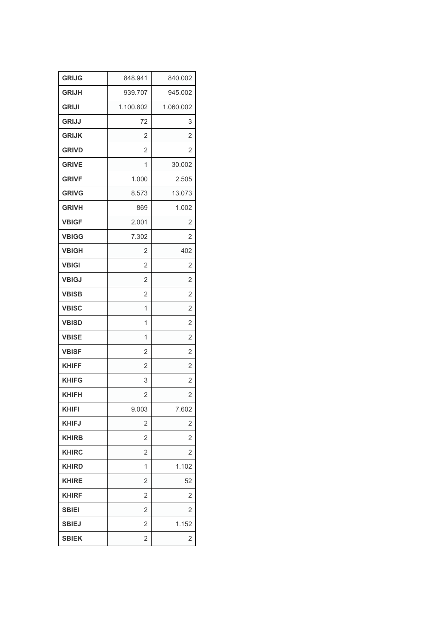| <b>GRIJG</b> | 848.941        | 840.002        |
|--------------|----------------|----------------|
| <b>GRIJH</b> | 939.707        | 945.002        |
| <b>GRIJI</b> | 1.100.802      | 1.060.002      |
| <b>GRIJJ</b> | 72             | 3              |
| <b>GRIJK</b> | 2              | 2              |
| <b>GRIVD</b> | 2              | 2              |
| <b>GRIVE</b> | 1              | 30.002         |
| <b>GRIVF</b> | 1.000          | 2.505          |
| <b>GRIVG</b> | 8.573          | 13.073         |
| <b>GRIVH</b> | 869            | 1.002          |
| <b>VBIGF</b> | 2.001          | $\overline{2}$ |
| <b>VBIGG</b> | 7.302          | 2              |
| <b>VBIGH</b> | 2              | 402            |
| <b>VBIGI</b> | $\overline{2}$ | $\overline{2}$ |
| <b>VBIGJ</b> | $\overline{2}$ | $\overline{2}$ |
| <b>VBISB</b> | $\overline{2}$ | $\overline{2}$ |
| <b>VBISC</b> | 1              | 2              |
| <b>VBISD</b> | 1              | $\overline{2}$ |
| <b>VBISE</b> | 1              | $\overline{2}$ |
| <b>VBISF</b> | $\overline{2}$ | 2              |
| <b>KHIFF</b> | $\overline{2}$ | 2              |
| <b>KHIFG</b> | 3              | 2              |
| <b>KHIFH</b> | $\overline{2}$ | 2              |
| <b>KHIFI</b> | 9.003          | 7.602          |
| <b>KHIFJ</b> | 2              | 2              |
| <b>KHIRB</b> | $\overline{2}$ | 2              |
| <b>KHIRC</b> | $\overline{2}$ | 2              |
| <b>KHIRD</b> | 1              | 1.102          |
| <b>KHIRE</b> | $\overline{2}$ | 52             |
| <b>KHIRF</b> | 2              | 2              |
| <b>SBIEI</b> | $\overline{2}$ | 2              |
| <b>SBIEJ</b> | $\overline{2}$ | 1.152          |
| <b>SBIEK</b> | $\overline{2}$ | 2              |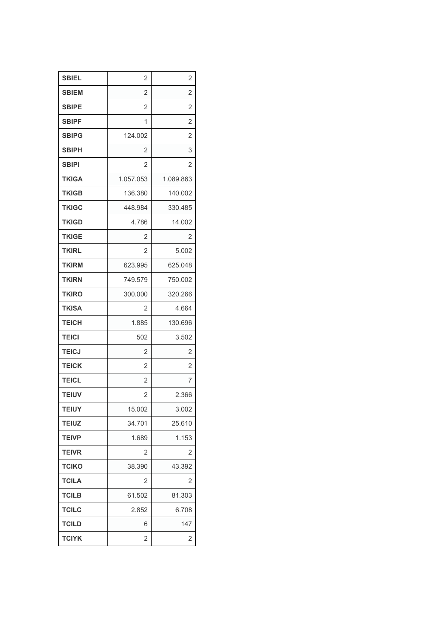| <b>SBIEL</b> | 2              | 2              |
|--------------|----------------|----------------|
| <b>SBIEM</b> | $\overline{2}$ | $\overline{2}$ |
| <b>SBIPE</b> | 2              | 2              |
| <b>SBIPF</b> | 1              | $\overline{2}$ |
| <b>SBIPG</b> | 124.002        | 2              |
| <b>SBIPH</b> | 2              | 3              |
| <b>SBIPI</b> | 2              | 2              |
| <b>TKIGA</b> | 1.057.053      | 1.089.863      |
| <b>TKIGB</b> | 136.380        | 140.002        |
| <b>TKIGC</b> | 448.984        | 330.485        |
| <b>TKIGD</b> | 4.786          | 14.002         |
| <b>TKIGE</b> | 2              | 2              |
| <b>TKIRL</b> | 2              | 5.002          |
| <b>TKIRM</b> | 623.995        | 625.048        |
| <b>TKIRN</b> | 749.579        | 750.002        |
| <b>TKIRO</b> | 300.000        | 320.266        |
| <b>TKISA</b> | 2              | 4.664          |
| <b>TEICH</b> | 1.885          | 130.696        |
| <b>TEICI</b> | 502            | 3.502          |
| <b>TEICJ</b> | $\overline{2}$ | 2              |
| <b>TEICK</b> | 2              | 2              |
| <b>TEICL</b> | $\overline{2}$ | 7              |
| <b>TEIUV</b> | 2              | 2.366          |
| <b>TEIUY</b> | 15.002         | 3.002          |
| <b>TEIUZ</b> | 34.701         | 25.610         |
| <b>TEIVP</b> | 1.689          | 1.153          |
| <b>TEIVR</b> | 2              | 2              |
| <b>TCIKO</b> | 38.390         | 43.392         |
| <b>TCILA</b> | 2              | 2              |
| <b>TCILB</b> | 61.502         | 81.303         |
| <b>TCILC</b> | 2.852          | 6.708          |
| <b>TCILD</b> | 6              | 147            |
| <b>TCIYK</b> | 2              | 2              |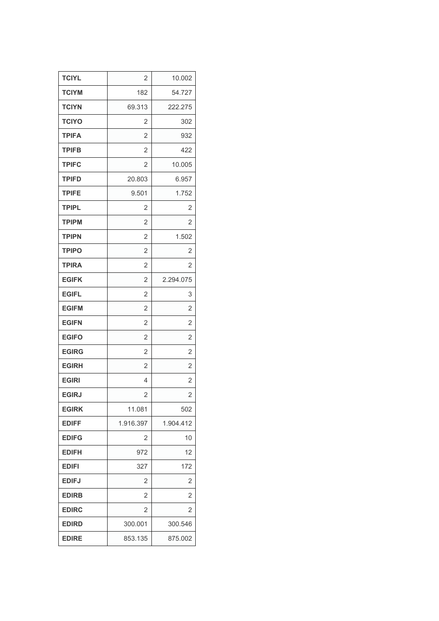| <b>TCIYL</b> | $\overline{2}$ | 10.002         |
|--------------|----------------|----------------|
| <b>TCIYM</b> | 182            | 54.727         |
| <b>TCIYN</b> | 69.313         | 222.275        |
| <b>TCIYO</b> | 2              | 302            |
| <b>TPIFA</b> | $\overline{2}$ | 932            |
| <b>TPIFB</b> | $\overline{2}$ | 422            |
| <b>TPIFC</b> | 2              | 10.005         |
| <b>TPIFD</b> | 20.803         | 6.957          |
| <b>TPIFE</b> | 9.501          | 1.752          |
| <b>TPIPL</b> | 2              | 2              |
| <b>TPIPM</b> | $\overline{2}$ | 2              |
| <b>TPIPN</b> | $\overline{2}$ | 1.502          |
| <b>TPIPO</b> | $\overline{2}$ | 2              |
| <b>TPIRA</b> | $\overline{2}$ | 2              |
| <b>EGIFK</b> | $\overline{2}$ | 2.294.075      |
| <b>EGIFL</b> | 2              | 3              |
| <b>EGIFM</b> | $\overline{2}$ | 2              |
| <b>EGIFN</b> | 2              | $\overline{2}$ |
| <b>EGIFO</b> | $\overline{2}$ | $\overline{2}$ |
| <b>EGIRG</b> | $\overline{2}$ | 2              |
| <b>EGIRH</b> | $\overline{2}$ | 2              |
| <b>EGIRI</b> | 4              | $\overline{2}$ |
| <b>EGIRJ</b> | $\overline{2}$ | $\overline{2}$ |
| <b>EGIRK</b> | 11.081         | 502            |
| <b>EDIFF</b> | 1.916.397      | 1.904.412      |
| <b>EDIFG</b> | 2              | 10             |
| <b>EDIFH</b> | 972            | 12             |
| <b>EDIFI</b> | 327            | 172            |
| <b>EDIFJ</b> | 2              | 2              |
| <b>EDIRB</b> | 2              | 2              |
| <b>EDIRC</b> | 2              | 2              |
| <b>EDIRD</b> | 300.001        | 300.546        |
| <b>EDIRE</b> | 853.135        | 875.002        |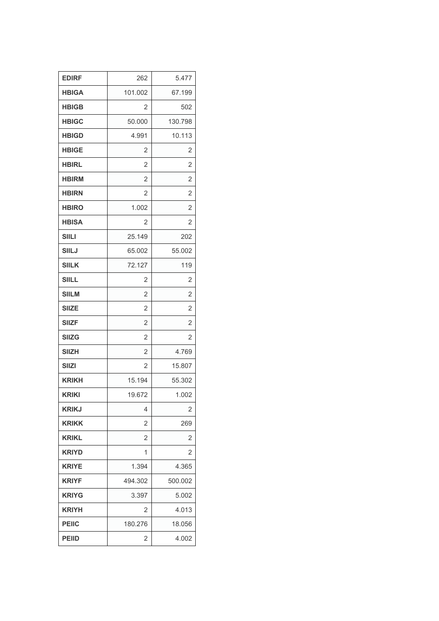| <b>EDIRF</b> | 262            | 5.477          |
|--------------|----------------|----------------|
| <b>HBIGA</b> | 101.002        | 67.199         |
| <b>HBIGB</b> | 2              | 502            |
| <b>HBIGC</b> | 50.000         | 130.798        |
| <b>HBIGD</b> | 4.991          | 10.113         |
| <b>HBIGE</b> | $\overline{2}$ | 2              |
| <b>HBIRL</b> | $\overline{2}$ | 2              |
| <b>HBIRM</b> | $\overline{2}$ | 2              |
| <b>HBIRN</b> | $\overline{2}$ | 2              |
| <b>HBIRO</b> | 1.002          | $\overline{2}$ |
| <b>HBISA</b> | 2              | 2              |
| <b>SIILI</b> | 25.149         | 202            |
| <b>SIILJ</b> | 65.002         | 55.002         |
| <b>SIILK</b> | 72.127         | 119            |
| <b>SIILL</b> | 2              | 2              |
| <b>SIILM</b> | $\overline{2}$ | $\overline{2}$ |
| <b>SIIZE</b> | $\overline{2}$ | 2              |
| <b>SIIZF</b> | $\overline{2}$ | $\overline{2}$ |
| <b>SIIZG</b> | $\overline{2}$ | 2              |
| <b>SIIZH</b> | $\overline{2}$ | 4.769          |
| <b>SIIZI</b> | $\overline{2}$ | 15.807         |
| <b>KRIKH</b> | 15.194         | 55.302         |
| <b>KRIKI</b> | 19.672         | 1.002          |
| <b>KRIKJ</b> | 4              | 2              |
| <b>KRIKK</b> | 2              | 269            |
| <b>KRIKL</b> | $\overline{2}$ | 2              |
| <b>KRIYD</b> | 1              | 2              |
| <b>KRIYE</b> | 1.394          | 4.365          |
| <b>KRIYF</b> | 494.302        | 500.002        |
| <b>KRIYG</b> | 3.397          | 5.002          |
| <b>KRIYH</b> | 2              | 4.013          |
| <b>PEIIC</b> | 180.276        | 18.056         |
| <b>PEIID</b> | 2              | 4.002          |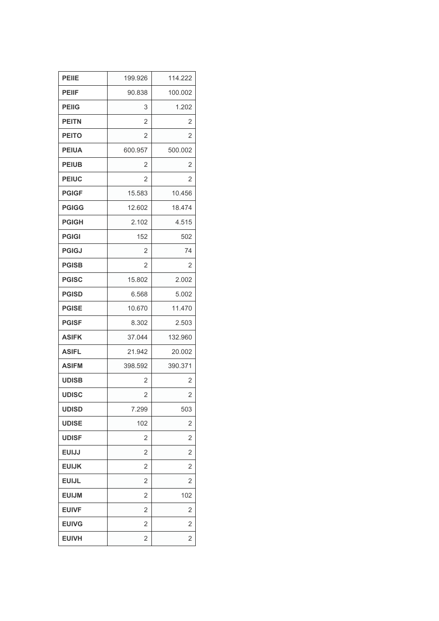| <b>PEIIE</b> | 199.926        | 114.222        |
|--------------|----------------|----------------|
| <b>PEIIF</b> | 90.838         | 100.002        |
| <b>PEIIG</b> | 3              | 1.202          |
| <b>PEITN</b> | 2              | 2              |
| <b>PEITO</b> | 2              | 2              |
| <b>PEIUA</b> | 600.957        | 500.002        |
| <b>PEIUB</b> | 2              | 2              |
| <b>PEIUC</b> | $\overline{2}$ | $\overline{2}$ |
| <b>PGIGF</b> | 15.583         | 10.456         |
| <b>PGIGG</b> | 12.602         | 18.474         |
| <b>PGIGH</b> | 2.102          | 4.515          |
| <b>PGIGI</b> | 152            | 502            |
| <b>PGIGJ</b> | $\overline{2}$ | 74             |
| <b>PGISB</b> | 2              | 2              |
| <b>PGISC</b> | 15.802         | 2.002          |
| <b>PGISD</b> | 6.568          | 5.002          |
| <b>PGISE</b> | 10.670         | 11.470         |
| <b>PGISF</b> | 8.302          | 2.503          |
| <b>ASIFK</b> | 37.044         | 132.960        |
| <b>ASIFL</b> | 21.942         | 20.002         |
| <b>ASIFM</b> | 398.592        | 390.371        |
| <b>UDISB</b> | 2              | 2              |
| <b>UDISC</b> | 2              | 2              |
| <b>UDISD</b> | 7.299          | 503            |
| <b>UDISE</b> | 102            | 2              |
| <b>UDISF</b> | 2              | $\overline{2}$ |
| <b>EUIJJ</b> | $\overline{2}$ | $\overline{2}$ |
| <b>EUIJK</b> | 2              | 2              |
| <b>EUIJL</b> | 2              | 2              |
| <b>EUIJM</b> | 2              | 102            |
| <b>EUIVF</b> | $\overline{2}$ | 2              |
| <b>EUIVG</b> | 2              | 2              |
| <b>EUIVH</b> | $\overline{2}$ | $\overline{2}$ |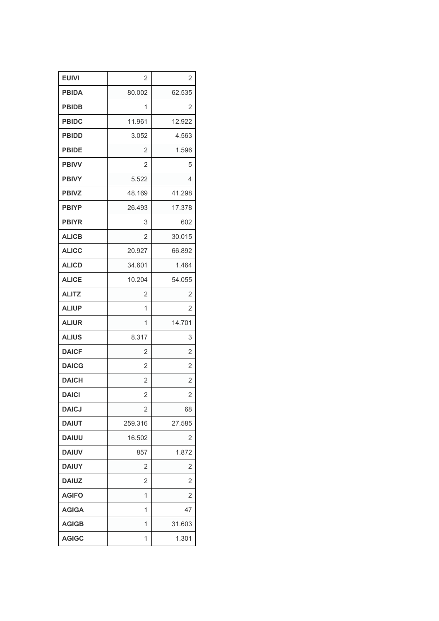| <b>EUIVI</b> | 2              | 2              |
|--------------|----------------|----------------|
| <b>PBIDA</b> | 80.002         | 62.535         |
| <b>PBIDB</b> | 1              | 2              |
| <b>PBIDC</b> | 11.961         | 12.922         |
| <b>PBIDD</b> | 3.052          | 4.563          |
| <b>PBIDE</b> | $\overline{2}$ | 1.596          |
| <b>PBIVV</b> | $\overline{2}$ | 5              |
| <b>PBIVY</b> | 5.522          | 4              |
| <b>PBIVZ</b> | 48.169         | 41.298         |
| <b>PBIYP</b> | 26.493         | 17.378         |
| <b>PBIYR</b> | 3              | 602            |
| <b>ALICB</b> | 2              | 30.015         |
| <b>ALICC</b> | 20.927         | 66.892         |
| <b>ALICD</b> | 34.601         | 1.464          |
| <b>ALICE</b> | 10.204         | 54.055         |
| <b>ALITZ</b> | $\overline{2}$ | $\overline{2}$ |
| <b>ALIUP</b> | 1              | 2              |
| <b>ALIUR</b> | 1              | 14.701         |
| <b>ALIUS</b> | 8.317          | 3              |
| <b>DAICF</b> | $\overline{2}$ | $\overline{2}$ |
| <b>DAICG</b> | 2              | 2              |
| <b>DAICH</b> | $\overline{2}$ | $\overline{2}$ |
| <b>DAICI</b> | $\overline{2}$ | $\overline{2}$ |
| <b>DAICJ</b> | $\overline{2}$ | 68             |
| <b>DAIUT</b> | 259.316        | 27.585         |
| <b>DAIUU</b> | 16.502         | 2              |
| <b>DAIUV</b> | 857            | 1.872          |
| <b>DAIUY</b> | $\overline{2}$ | $\overline{2}$ |
| <b>DAIUZ</b> | 2              | 2              |
| <b>AGIFO</b> | 1              | 2              |
| <b>AGIGA</b> | 1              | 47             |
| <b>AGIGB</b> | 1              | 31.603         |
| <b>AGIGC</b> | 1              | 1.301          |